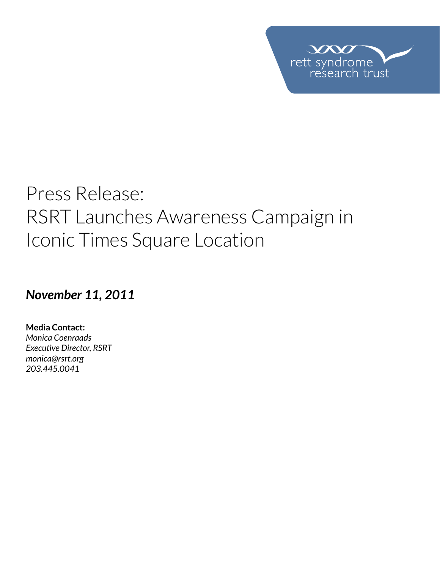

# Press Release: RSRT Launches Awareness Campaign in Iconic Times Square Location

### *November 11, 2011*

**Media Contact:**  *Monica Coenraads Executive Director, RSRT monica@rsrt.org 203.445.0041*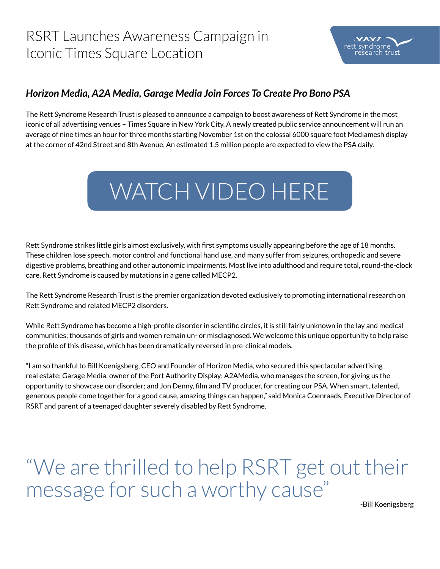## RSRT Launches Awareness Campaign in Iconic Times Square Location



#### *Horizon Media, A2A Media, Garage Media Join Forces To Create Pro Bono PSA*

The Rett Syndrome Research Trust is pleased to announce a campaign to boost awareness of Rett Syndrome in the most iconic of all advertising venues – Times Square in New York City. A newly created public service announcement will run an average of nine times an hour for three months starting November 1st on the colossal 6000 square foot Mediamesh display at the corner of 42nd Street and 8th Avenue. An estimated 1.5 million people are expected to view the PSA daily.



Rett Syndrome strikes little girls almost exclusively, with first symptoms usually appearing before the age of 18 months. These children lose speech, motor control and functional hand use, and many suffer from seizures, orthopedic and severe digestive problems, breathing and other autonomic impairments. Most live into adulthood and require total, round-the-clock care. Rett Syndrome is caused by mutations in a gene called MECP2.

The Rett Syndrome Research Trust is the premier organization devoted exclusively to promoting international research on Rett Syndrome and related MECP2 disorders.

While Rett Syndrome has become a high-profile disorder in scientific circles, it is still fairly unknown in the lay and medical communities; thousands of girls and women remain un- or misdiagnosed. We welcome this unique opportunity to help raise the profile of this disease, which has been dramatically reversed in pre-clinical models.

"I am so thankful to Bill Koenigsberg, CEO and Founder of Horizon Media, who secured this spectacular advertising real estate; Garage Media, owner of the Port Authority Display; A2AMedia, who manages the screen, for giving us the opportunity to showcase our disorder; and Jon Denny, film and TV producer, for creating our PSA. When smart, talented, generous people come together for a good cause, amazing things can happen," said Monica Coenraads, Executive Director of RSRT and parent of a teenaged daughter severely disabled by Rett Syndrome.

"We are thrilled to help RSRT get out their message for such a worthy cause"

-Bill Koenigsberg